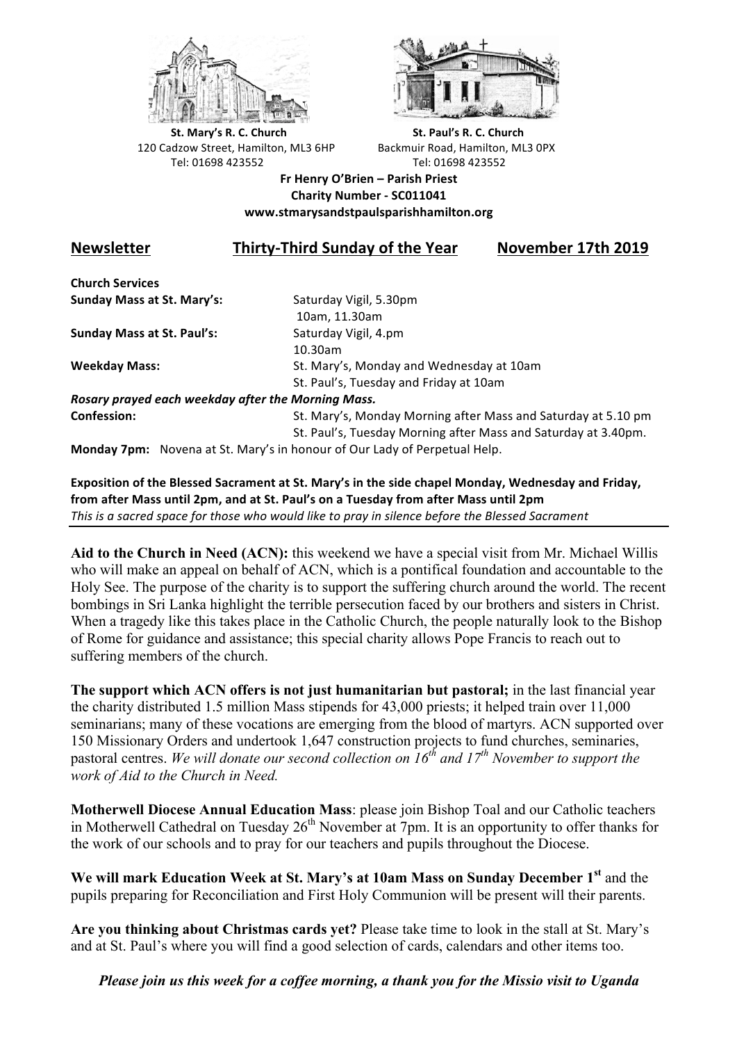



**St.** Mary's R. C. Church St. Paul's R. C. Church 120 Cadzow Street, Hamilton, ML3 6HP Backmuir Road, Hamilton, ML3 0PX Tel: 01698 423552 Tel: 01698 423552

**Fr Henry O'Brien – Parish Priest Charity Number - SC011041 www.stmarysandstpaulsparishhamilton.org**

## **Newsletter Thirty-Third Sunday of the Year November 17th 2019**

**Church Services Sunday Mass at St. Mary's:** Saturday Vigil, 5.30pm

**Sunday Mass at St. Paul's:** Saturday Vigil, 4.pm

 10am, 11.30am 10.30am **Weekday Mass:** St. Mary's, Monday and Wednesday at 10am St. Paul's, Tuesday and Friday at 10am

*Rosary prayed each weekday after the Morning Mass.* **Confession:** St. Mary's, Monday Morning after Mass and Saturday at 5.10 pm

St. Paul's, Tuesday Morning after Mass and Saturday at 3.40pm.

**Monday 7pm:** Novena at St. Mary's in honour of Our Lady of Perpetual Help.

Exposition of the Blessed Sacrament at St. Mary's in the side chapel Monday, Wednesday and Friday, from after Mass until 2pm, and at St. Paul's on a Tuesday from after Mass until 2pm This is a sacred space for those who would like to pray in silence before the Blessed Sacrament

**Aid to the Church in Need (ACN):** this weekend we have a special visit from Mr. Michael Willis who will make an appeal on behalf of ACN, which is a pontifical foundation and accountable to the Holy See. The purpose of the charity is to support the suffering church around the world. The recent bombings in Sri Lanka highlight the terrible persecution faced by our brothers and sisters in Christ. When a tragedy like this takes place in the Catholic Church, the people naturally look to the Bishop of Rome for guidance and assistance; this special charity allows Pope Francis to reach out to suffering members of the church.

**The support which ACN offers is not just humanitarian but pastoral;** in the last financial year the charity distributed 1.5 million Mass stipends for 43,000 priests; it helped train over 11,000 seminarians; many of these vocations are emerging from the blood of martyrs. ACN supported over 150 Missionary Orders and undertook 1,647 construction projects to fund churches, seminaries, pastoral centres. *We will donate our second collection on 16th and 17th November to support the work of Aid to the Church in Need.*

**Motherwell Diocese Annual Education Mass**: please join Bishop Toal and our Catholic teachers in Motherwell Cathedral on Tuesday  $26<sup>th</sup>$  November at 7pm. It is an opportunity to offer thanks for the work of our schools and to pray for our teachers and pupils throughout the Diocese.

**We will mark Education Week at St. Mary's at 10am Mass on Sunday December 1st** and the pupils preparing for Reconciliation and First Holy Communion will be present will their parents.

**Are you thinking about Christmas cards yet?** Please take time to look in the stall at St. Mary's and at St. Paul's where you will find a good selection of cards, calendars and other items too.

*Please join us this week for a coffee morning, a thank you for the Missio visit to Uganda*